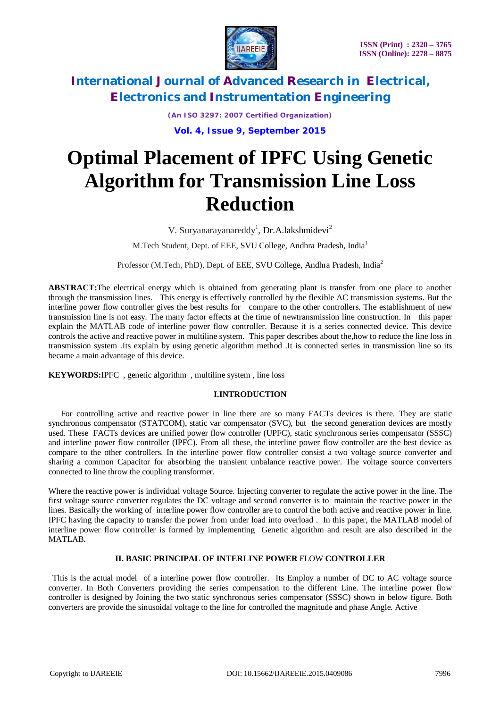

*(An ISO 3297: 2007 Certified Organization)* **Vol. 4, Issue 9, September 2015**

# **Optimal Placement of IPFC Using Genetic Algorithm for Transmission Line Loss Reduction**

V. Suryanarayanareddy<sup>1</sup>, Dr.A.lakshmidevi<sup>2</sup>

M.Tech Student, Dept. of EEE, SVU College, Andhra Pradesh, India<sup>1</sup>

Professor (M.Tech, PhD), Dept. of EEE, SVU College, Andhra Pradesh, India<sup>2</sup>

**ABSTRACT:**The electrical energy which is obtained from generating plant is transfer from one place to another through the transmission lines. This energy is effectively controlled by the flexible AC transmission systems. But the interline power flow controller gives the best results for compare to the other controllers. The establishment of new transmission line is not easy. The many factor effects at the time of newtransmission line construction. In this paper explain the MATLAB code of interline power flow controller. Because it is a series connected device. This device controls the active and reactive power in multiline system. This paper describes about the,how to reduce the line loss in transmission system .Its explain by using genetic algorithm method .It is connected series in transmission line so its became a main advantage of this device.

**KEYWORDS:**IPFC, genetic algorithm, multiline system, line loss

#### **I.INTRODUCTION**

 For controlling active and reactive power in line there are so many FACTs devices is there. They are static synchronous compensator (STATCOM), static var compensator (SVC), but the second generation devices are mostly used. These FACTs devices are unified power flow controller (UPFC), static synchronous series compensator (SSSC) and interline power flow controller (IPFC). From all these, the interline power flow controller are the best device as compare to the other controllers. In the interline power flow controller consist a two voltage source converter and sharing a common Capacitor for absorbing the transient unbalance reactive power. The voltage source converters connected to line throw the coupling transformer.

Where the reactive power is individual voltage Source. Injecting converter to regulate the active power in the line. The first voltage source converter regulates the DC voltage and second converter is to maintain the reactive power in the lines. Basically the working of interline power flow controller are to control the both active and reactive power in line. IPFC having the capacity to transfer the power from under load into overload . In this paper, the MATLAB model of interline power flow controller is formed by implementing Genetic algorithm and result are also described in the MATLAB.

### **II. BASIC PRINCIPAL OF INTERLINE POWER** FLOW **CONTROLLER**

 This is the actual model of a interline power flow controller. Its Employ a number of DC to AC voltage source converter. In Both Converters providing the series compensation to the different Line. The interline power flow controller is designed by Joining the two static synchronous series compensator (SSSC) shown in below figure. Both converters are provide the sinusoidal voltage to the line for controlled the magnitude and phase Angle. Active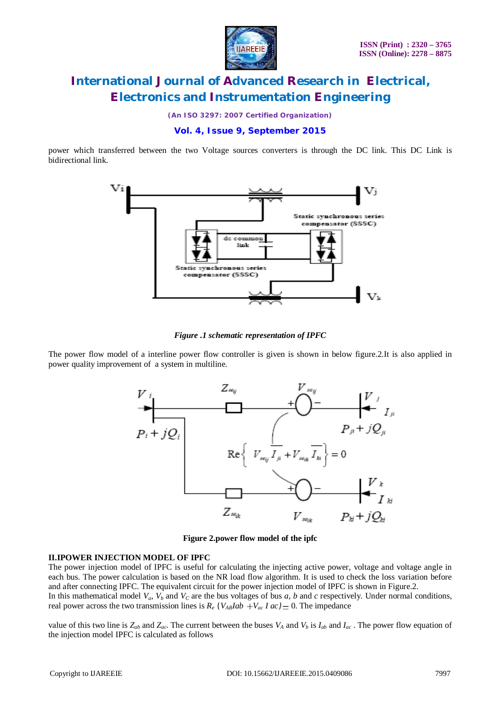

*(An ISO 3297: 2007 Certified Organization)*

**Vol. 4, Issue 9, September 2015**

power which transferred between the two Voltage sources converters is through the DC link. This DC Link is bidirectional link.



*Figure .1 schematic representation of IPFC*

The power flow model of a interline power flow controller is given is shown in below figure.2.It is also applied in power quality improvement of a system in multiline.



**Figure 2.power flow model of the ipfc**

#### **II.IPOWER INJECTION MODEL OF IPFC**

The power injection model of IPFC is useful for calculating the injecting active power, voltage and voltage angle in each bus. The power calculation is based on the NR load flow algorithm. It is used to check the loss variation before and after connecting IPFC. The equivalent circuit for the power injection model of IPFC is shown in Figure.2.

In this mathematical model  $V_a$ ,  $V_b$  and  $V_c$  are the bus voltages of bus *a*, *b* and *c* respectively. Under normal conditions, real power across the two transmission lines is  $R_e$  {*V*<sub>*AB*</sub>*Iab* + *V*<sub>*ac*</sub> *I* ac} = 0. The impedance

value of this two line is  $Z_{ab}$  and  $Z_{ac}$ . The current between the buses  $V_A$  and  $V_b$  is  $I_{ab}$  and  $I_{ac}$ . The power flow equation of the injection model IPFC is calculated as follows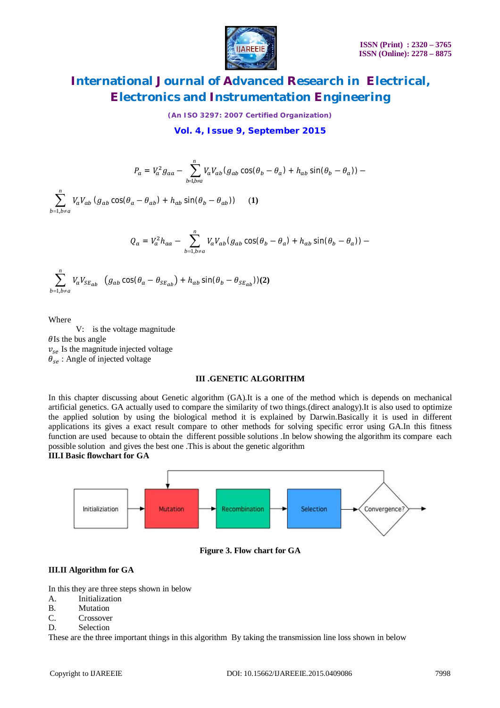

*(An ISO 3297: 2007 Certified Organization)*

**Vol. 4, Issue 9, September 2015**

$$
P_a = V_a^2 g_{aa} - \sum_{b=1, b\neq a}^n V_a V_{ab} (g_{ab} \cos(\theta_b - \theta_a) + h_{ab} \sin(\theta_b - \theta_a)) -
$$

 $\sum_{=1,b\neq}^n$  $b=1, b \neq a$  $V_a V_{ab} (g_{ab} \cos(\theta_a - \theta_{ab}) + h_{ab} \sin(\theta_b - \theta_{ab}))$  (1)

$$
Q_a = V_a^2 h_{aa} - \sum_{b=1, b \neq a}^{n} V_a V_{ab} (g_{ab} \cos(\theta_b - \theta_a) + h_{ab} \sin(\theta_b - \theta_a)) -
$$

$$
\sum_{b=1, b \neq a}^{n} V_a V_{SE_{ab}} \left( g_{ab} \cos(\theta_a - \theta_{SE_{ab}}) + h_{ab} \sin(\theta_b - \theta_{SE_{ab}}) \right)
$$
 (2)

Where

 V: is the voltage magnitude  $\theta$ Is the bus angle  $v_{se}$  Is the magnitude injected voltage  $\theta_{se}$ : Angle of injected voltage

#### **III .GENETIC ALGORITHM**

In this chapter discussing about Genetic algorithm (GA).It is a one of the method which is depends on mechanical artificial genetics. GA actually used to compare the similarity of two things.(direct analogy).It is also used to optimize the applied solution by using the biological method it is explained by Darwin.Basically it is used in different applications its gives a exact result compare to other methods for solving specific error using GA.In this fitness function are used because to obtain the different possible solutions .In below showing the algorithm its compare each possible solution and gives the best one .This is about the genetic algorithm **III.I Basic flowchart for GA**



**Figure 3. Flow chart for GA**

#### **III.II Algorithm for GA**

In this they are three steps shown in below

- A. Initialization
- B. Mutation
- C. Crossover
- D. Selection

These are the three important things in this algorithm By taking the transmission line loss shown in below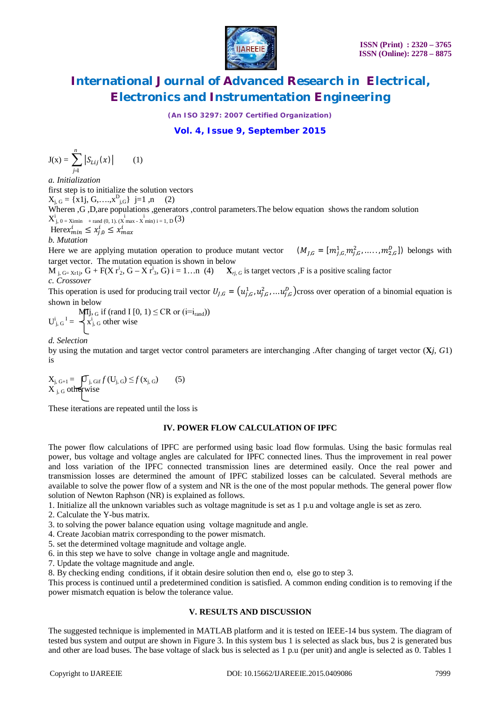

*(An ISO 3297: 2007 Certified Organization)*

**Vol. 4, Issue 9, September 2015**

$$
J(x) = \sum_{j=1}^{n} |S_{Lij}(x)| \qquad (1)
$$

*a. Initialization* first step is to initialize the solution vectors  $X_{j, G} = \{x1j, G, \ldots, x_{j, G}\} \; j=1 \; , n \qquad (2)$ Wheren ,G, D, are populations ,generators ,control parameters. The below equation shows the random solution X i j, 0 = Ximin + rand (0, 1). (X i max - X i min) i = 1, D (3) Here $x_{min}^i \leq x_{j,0}^i \leq x_{max}^i$ 

#### *b. Mutation*

Here we are applying mutation operation to produce mutant vector  $(M_{J,G} = [m_{j,G}^1, m_{j,G}^2, \dots, m_{2,G}^D])$  belongs with target vector. The mutation equation is shown in below

 $\overline{\mathbf{M}}$   $_{\mathrm{j, G= Xr1j}}$ ,  $\overline{\mathbf{G}} + \mathbf{F}(\overline{\mathbf{X}} \, \overline{\mathbf{r}}^{\mathrm{i}}$ ,  $\overline{\mathbf{G}} - \overline{\mathbf{X}} \, \overline{\mathbf{r}}^{\mathrm{i}}$  $\mathbf{X}_{ri, G}$  is target vectors ,F is a positive scaling factor *c. Crossover*

This operation is used for producing trail vector  $U_{j,G} = (u_{j,G}^1, u_{j,G}^2, ..., u_{j,G}^p)$ cross over operation of a binomial equation is shown in below

$$
U_{j, G}^{i} \mathbf{I} = \begin{cases} \mathbf{M} \mathbf{I} \mathbf{j}, G \text{ if (rand I [0, 1) \leq CR or (i=i_{rand}))} \\ x_{j, G}^{i} \text{ other wise} \end{cases}
$$

*d. Selection*

by using the mutation and target vector control parameters are interchanging .After changing of target vector (**X***j*, *G*1) is

 $X_{j, G+1} = \left[ \overline{U}_{j, G} \right]_{j, G} f(U_{j, G}) \leq f(X_{j, G})$  (5)  $X_{j,G}$  otherwise

These iterations are repeated until the loss is

### **IV. POWER FLOW CALCULATION OF IPFC**

The power flow calculations of IPFC are performed using basic load flow formulas. Using the basic formulas real power, bus voltage and voltage angles are calculated for IPFC connected lines. Thus the improvement in real power and loss variation of the IPFC connected transmission lines are determined easily. Once the real power and transmission losses are determined the amount of IPFC stabilized losses can be calculated. Several methods are available to solve the power flow of a system and NR is the one of the most popular methods. The general power flow solution of Newton Raphson (NR) is explained as follows.

1. Initialize all the unknown variables such as voltage magnitude is set as 1 p.u and voltage angle is set as zero.

2. Calculate the Y-bus matrix.

- 3. to solving the power balance equation using voltage magnitude and angle.
- 4. Create Jacobian matrix corresponding to the power mismatch.
- 5. set the determined voltage magnitude and voltage angle.
- 6. in this step we have to solve change in voltage angle and magnitude.

7. Update the voltage magnitude and angle.

8. By checking ending conditions, if it obtain desire solution then end o, else go to step 3.

This process is continued until a predetermined condition is satisfied. A common ending condition is to removing if the power mismatch equation is below the tolerance value.

### **V. RESULTS AND DISCUSSION**

The suggested technique is implemented in MATLAB platform and it is tested on IEEE-14 bus system. The diagram of tested bus system and output are shown in Figure 3. In this system bus 1 is selected as slack bus, bus 2 is generated bus and other are load buses. The base voltage of slack bus is selected as 1 p.u (per unit) and angle is selected as 0. Tables 1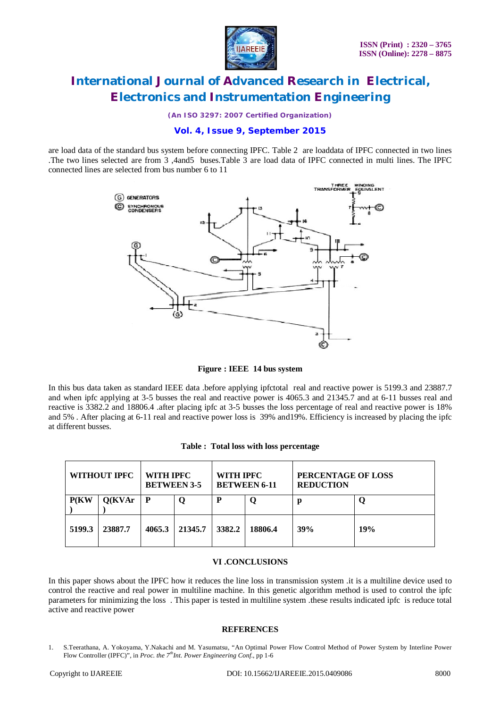

*(An ISO 3297: 2007 Certified Organization)*

### **Vol. 4, Issue 9, September 2015**

are load data of the standard bus system before connecting IPFC. Table 2 are loaddata of IPFC connected in two lines .The two lines selected are from 3 ,4and5 buses.Table 3 are load data of IPFC connected in multi lines. The IPFC connected lines are selected from bus number 6 to 11



**Figure : IEEE 14 bus system**

In this bus data taken as standard IEEE data .before applying ipfctotal real and reactive power is 5199.3 and 23887.7 and when ipfc applying at 3-5 busses the real and reactive power is 4065.3 and 21345.7 and at 6-11 busses real and reactive is 3382.2 and 18806.4 .after placing ipfc at 3-5 busses the loss percentage of real and reactive power is 18% and 5% . After placing at 6-11 real and reactive power loss is 39% and19%. Efficiency is increased by placing the ipfc at different busses.

| WITHOUT IPFC |         | WITH IPFC<br><b>BETWEEN 3-5</b> |         | WITH IPFC<br><b>BETWEEN 6-11</b> |         | PERCENTAGE OF LOSS<br><b>REDUCTION</b> |     |
|--------------|---------|---------------------------------|---------|----------------------------------|---------|----------------------------------------|-----|
| P(KW)        | Q(KVAr  | $\mathbf{P}$                    |         |                                  |         | р                                      |     |
| 5199.3       | 23887.7 | 4065.3                          | 21345.7 | 3382.2                           | 18806.4 | 39%                                    | 19% |

#### **VI .CONCLUSIONS**

In this paper shows about the IPFC how it reduces the line loss in transmission system .it is a multiline device used to control the reactive and real power in multiline machine. In this genetic algorithm method is used to control the ipfc parameters for minimizing the loss . This paper is tested in multiline system .these results indicated ipfc is reduce total active and reactive power

#### **REFERENCES**

1. S.Teerathana, A. Yokoyama, Y.Nakachi and M. Yasumatsu, "An Optimal Power Flow Control Method of Power System by Interline Power Flow Controller (IPFC)", in *Proc. the 7thInt. Power Engineering Conf*., pp 1-6